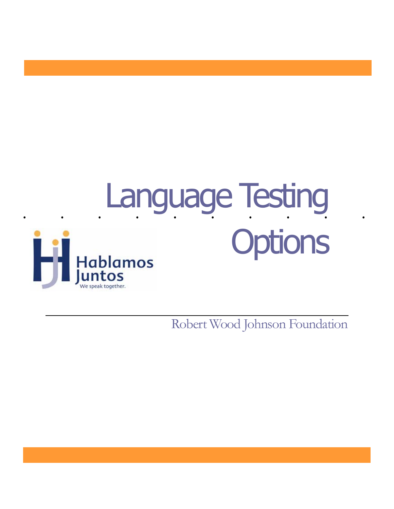

Robert Wood Johnson Foundation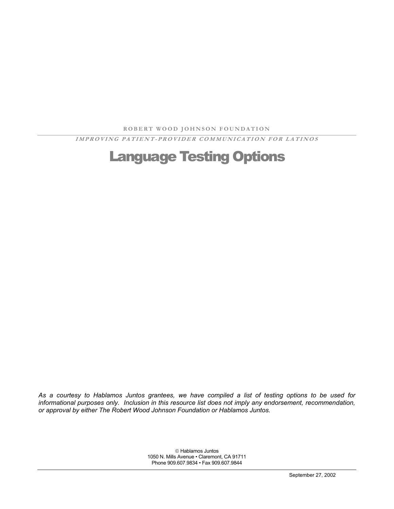**ROBERT W OOD JOH N SON FOUN DATION** 

**IMPROVING PATIENT-PROVIDER COMMUNICATION FOR LATINOS** 

# Language Testing Options

*As a courtesy to Hablamos Juntos grantees, we have compiled a list of testing options to be used for informational purposes only. Inclusion in this resource list does not imply any endorsement, recommendation, or approval by either The Robert Wood Johnson Foundation or Hablamos Juntos.* 

> Hablamos Juntos 1050 N. Mills Avenue • Claremont, CA 91711 Phone 909.607.9834 • Fax 909.607.9844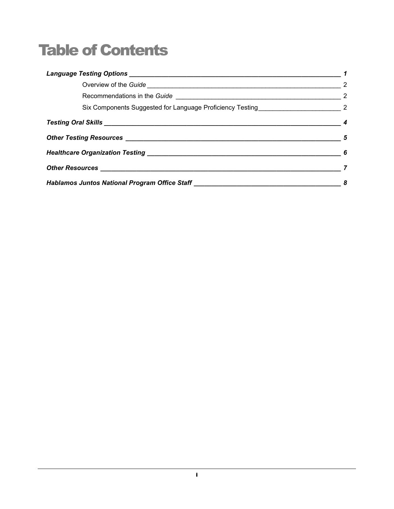# Table of Contents

|                                                                                  | $\overline{\phantom{a}}$ 2 |
|----------------------------------------------------------------------------------|----------------------------|
|                                                                                  |                            |
|                                                                                  |                            |
|                                                                                  |                            |
|                                                                                  | $\overline{\phantom{a}}$ 5 |
|                                                                                  |                            |
|                                                                                  |                            |
| Hablamos Juntos National Program Office Staff __________________________________ |                            |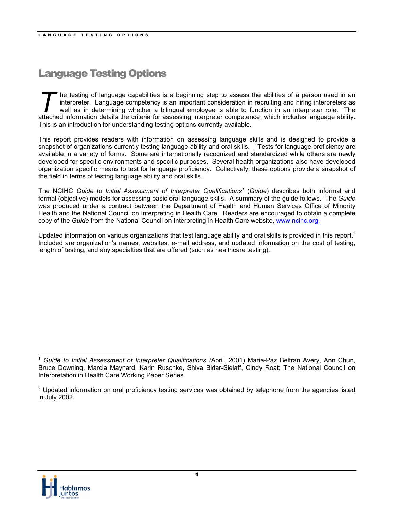# <span id="page-3-0"></span>Language Testing Options

T The testing of language capabilities is a beginning step to assess the abilities of a person used in an interpreter. Language competency is an important consideration in recruiting and hiring interpreters as well as in d interpreter. Language competency is an important consideration in recruiting and hiring interpreters as well as in determining whether a bilingual employee is able to function in an interpreter role. The attached information details the criteria for assessing interpreter competence, which includes language ability. This is an introduction for understanding testing options currently available.

This report provides readers with information on assessing language skills and is designed to provide a snapshot of organizations currently testing language ability and oral skills. Tests for language proficiency are available in a variety of forms. Some are internationally recognized and standardized while others are newly developed for specific environments and specific purposes. Several health organizations also have developed organization specific means to test for language proficiency. Collectively, these options provide a snapshot of the field in terms of testing language ability and oral skills.

The NCIHC *Guide to Initial Assessment of Interpreter Qualifications<sup>1</sup> (Guide) describes both informal and* formal (objective) models for assessing basic oral language skills. A summary of the guide follows. The *Guide* was produced under a contract between the Department of Health and Human Services Office of Minority Health and the National Council on Interpreting in Health Care. Readers are encouraged to obtain a complete copy of the *Guide* from the National Council on Interpreting in Health Care website, www.ncihc.org.

Updatedinformation on various organizations that test language ability and oral skills is provided in this report.<sup>2</sup> Included are organization's names, websites, e-mail address, and updated information on the cost of testing, length of testing, and any specialties that are offered (such as healthcare testing).



 $\overline{a}$ 

<span id="page-3-1"></span>**<sup>1</sup>** *Guide to Initial Assessment of Interpreter Qualifications (*April, 2001) Maria-Paz Beltran Avery, Ann Chun, Bruce Downing, Marcia Maynard, Karin Ruschke, Shiva Bidar-Sielaff, Cindy Roat; The National Council on Interpretation in Health Care Working Paper Series

<span id="page-3-2"></span> $2$  Updated information on oral proficiency testing services was obtained by telephone from the agencies listed in July 2002.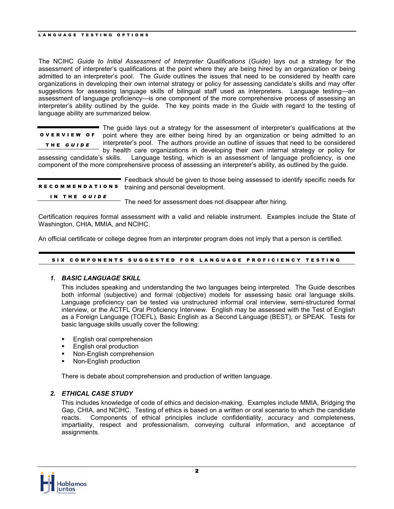<span id="page-4-0"></span>The NCIHC *Guide to Initial Assessment of Interpreter Qualifications* (*Guide*) lays out a strategy for the assessment of interpreter's qualifications at the point where they are being hired by an organization or being admitted to an interpreter's pool. The *Guide* outlines the issues that need to be considered by health care organizations in developing their own internal strategy or policy for assessing candidate's skills and may offer suggestions for assessing language skills of bilingual staff used as interpreters. Language testing—an assessment of language proficiency—is one component of the more comprehensive process of assessing an interpreter's ability outlined by the guide. The key points made in the *Guide* with regard to the testing of language ability are summarized below.

The guide lays out a strategy for the assessment of interpreter's qualifications at the point where they are either being hired by an organization or being admitted to an interpreter's pool. The authors provide an outline of issues that need to be considered by health care organizations in developing their own internal strategy or policy for OVERVIEW OF THE *GUI D E*

assessing candidate's skills. Language testing, which is an assessment of language proficiency, is one component of the more comprehensive process of assessing an interpreter's ability, as outlined by the guide.

|              | Feedback should be given to those being assessed to identify specific needs for<br>RECOMMENDATIONS training and personal development. |
|--------------|---------------------------------------------------------------------------------------------------------------------------------------|
| IN THE GUIDE | The need for assessment does not disappear after hiring.                                                                              |

Certification requires formal assessment with a valid and reliable instrument. Examples include the State of Washington, CHIA, MMIA, and NCIHC.

An official certificate or college degree from an interpreter program does not imply that a person is certified.

#### SIX COMPONENTS SUGGESTED FOR LANGUAGE PROFICIENCY TESTING

## *1. BASIC LANGUAGE SKILL*

This includes speaking and understanding the two languages being interpreted. The Guide describes both informal (subjective) and formal (objective) models for assessing basic oral language skills. Language proficiency can be tested via unstructured informal oral interview, semi-structured formal interview, or the ACTFL Oral Proficiency Interview. English may be assessed with the Test of English as a Foreign Language (TOEFL), Basic English as a Second Language (BEST), or SPEAK. Tests for basic language skills usually cover the following:

- **English oral comprehension**
- English oral production
- Non-English comprehension
- Non-English production

There is debate about comprehension and production of written language.

## *2. ETHICAL CASE STUDY*

This includes knowledge of code of ethics and decision-making. Examples include MMIA, Bridging the Gap, CHIA, and NCIHC. Testing of ethics is based on a written or oral scenario to which the candidate reacts. Components of ethical principles include confidentiality, accuracy and completeness, impartiality, respect and professionalism, conveying cultural information, and acceptance of assignments.

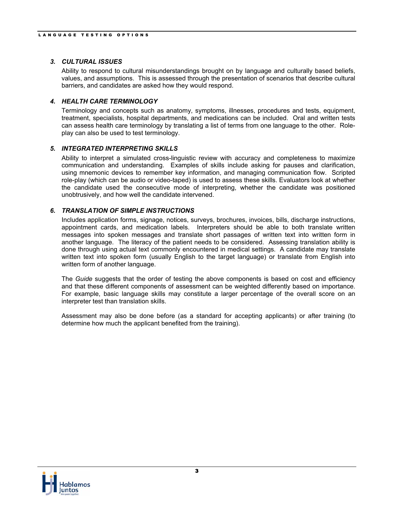## *3. CULTURAL ISSUES*

Ability to respond to cultural misunderstandings brought on by language and culturally based beliefs, values, and assumptions. This is assessed through the presentation of scenarios that describe cultural barriers, and candidates are asked how they would respond.

# *4. HEALTH CARE TERMINOLOGY*

Terminology and concepts such as anatomy, symptoms, illnesses, procedures and tests, equipment, treatment, specialists, hospital departments, and medications can be included. Oral and written tests can assess health care terminology by translating a list of terms from one language to the other. Roleplay can also be used to test terminology.

## *5. INTEGRATED INTERPRETING SKILLS*

Ability to interpret a simulated cross-linguistic review with accuracy and completeness to maximize communication and understanding. Examples of skills include asking for pauses and clarification, using mnemonic devices to remember key information, and managing communication flow. Scripted role-play (which can be audio or video-taped) is used to assess these skills. Evaluators look at whether the candidate used the consecutive mode of interpreting, whether the candidate was positioned unobtrusively, and how well the candidate intervened.

# *6. TRANSLATION OF SIMPLE INSTRUCTIONS*

Includes application forms, signage, notices, surveys, brochures, invoices, bills, discharge instructions, appointment cards, and medication labels. Interpreters should be able to both translate written messages into spoken messages and translate short passages of written text into written form in another language. The literacy of the patient needs to be considered. Assessing translation ability is done through using actual text commonly encountered in medical settings. A candidate may translate written text into spoken form (usually English to the target language) or translate from English into written form of another language.

The *Guide* suggests that the order of testing the above components is based on cost and efficiency and that these different components of assessment can be weighted differently based on importance. For example, basic language skills may constitute a larger percentage of the overall score on an interpreter test than translation skills.

Assessment may also be done before (as a standard for accepting applicants) or after training (to determine how much the applicant benefited from the training).

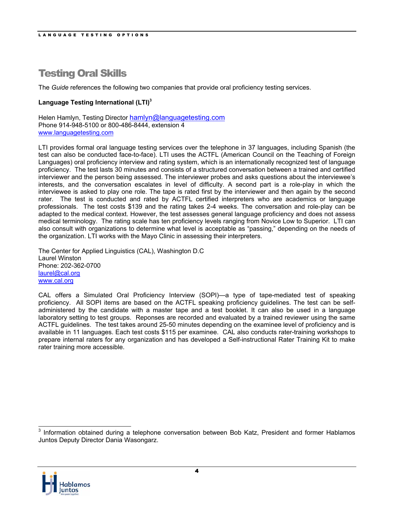# <span id="page-6-0"></span>Testing Oral Skills

The *Guide* references the following two companies that provide oral proficiency testing services.

# **Language Testing International (LTI)[3](#page-6-1)**

Helen Hamlyn, Testing Director hamlyn@languagetesting.com Phone 914-948-5100 or 800-486-8444, extension 4 www.languagetesting.com

LTI provides formal oral language testing services over the telephone in 37 languages, including Spanish (the test can also be conducted face-to-face). LTI uses the ACTFL (American Council on the Teaching of Foreign Languages) oral proficiency interview and rating system, which is an internationally recognized test of language proficiency. The test lasts 30 minutes and consists of a structured conversation between a trained and certified interviewer and the person being assessed. The interviewer probes and asks questions about the interviewee's interests, and the conversation escalates in level of difficulty. A second part is a role-play in which the interviewee is asked to play one role. The tape is rated first by the interviewer and then again by the second rater. The test is conducted and rated by ACTFL certified interpreters who are academics or language professionals. The test costs \$139 and the rating takes 2-4 weeks. The conversation and role-play can be adapted to the medical context. However, the test assesses general language proficiency and does not assess medical terminology. The rating scale has ten proficiency levels ranging from Novice Low to Superior. LTI can also consult with organizations to determine what level is acceptable as "passing," depending on the needs of the organization. LTI works with the Mayo Clinic in assessing their interpreters.

The Center for Applied Linguistics (CAL), Washington D.C Laurel Winston Phone: 202-362-0700 laurel@cal.org [www.cal.org](http://www.cal.org/)

CAL offers a Simulated Oral Proficiency Interview (SOPI)—a type of tape-mediated test of speaking proficiency. All SOPI items are based on the ACTFL speaking proficiency guidelines. The test can be selfadministered by the candidate with a master tape and a test booklet. It can also be used in a language laboratory setting to test groups. Reponses are recorded and evaluated by a trained reviewer using the same ACTFL guidelines. The test takes around 25-50 minutes depending on the examinee level of proficiency and is available in 11 languages. Each test costs \$115 per examinee. CAL also conducts rater-training workshops to prepare internal raters for any organization and has developed a Self-instructional Rater Training Kit to make rater training more accessible.

<span id="page-6-1"></span>3 Information obtained during a telephone conversation between Bob Katz, President and former Hablamos Juntos Deputy Director Dania Wasongarz.

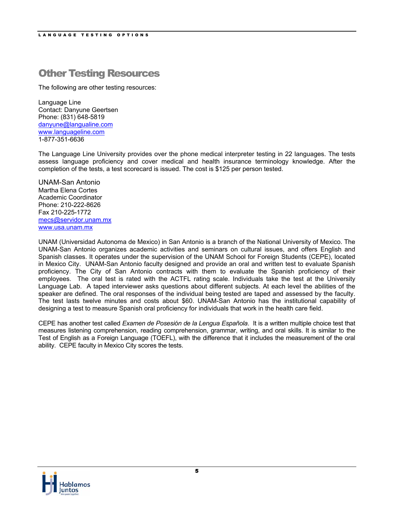# <span id="page-7-0"></span>Other Testing Resources

The following are other testing resources:

Language Line Contact: Danyune Geertsen Phone: (831) 648-5819 danyune@langualine.com www.languageline.com 1-877-351-6636

The Language Line University provides over the phone medical interpreter testing in 22 languages. The tests assess language proficiency and cover medical and health insurance terminology knowledge. After the completion of the tests, a test scorecard is issued. The cost is \$125 per person tested.

UNAM-San Antonio Martha Elena Cortes Academic Coordinator Phone: 210-222-8626 Fax 210-225-1772 mecs@servidor.unam.mx www.usa.unam.mx

UNAM (Universidad Autonoma de Mexico) in San Antonio is a branch of the National University of Mexico. The UNAM-San Antonio organizes academic activities and seminars on cultural issues, and offers English and Spanish classes. It operates under the supervision of the UNAM School for Foreign Students (CEPE), located in Mexico City. UNAM-San Antonio faculty designed and provide an oral and written test to evaluate Spanish proficiency. The City of San Antonio contracts with them to evaluate the Spanish proficiency of their employees. The oral test is rated with the ACTFL rating scale. Individuals take the test at the University Language Lab. A taped interviewer asks questions about different subjects. At each level the abilities of the speaker are defined. The oral responses of the individual being tested are taped and assessed by the faculty. The test lasts twelve minutes and costs about \$60. UNAM-San Antonio has the institutional capability of designing a test to measure Spanish oral proficiency for individuals that work in the health care field.

CEPE has another test called *Examen de Posesión de la Lengua Española*. It is a written multiple choice test that measures listening comprehension, reading comprehension, grammar, writing, and oral skills. It is similar to the Test of English as a Foreign Language (TOEFL), with the difference that it includes the measurement of the oral ability. CEPE faculty in Mexico City scores the tests.

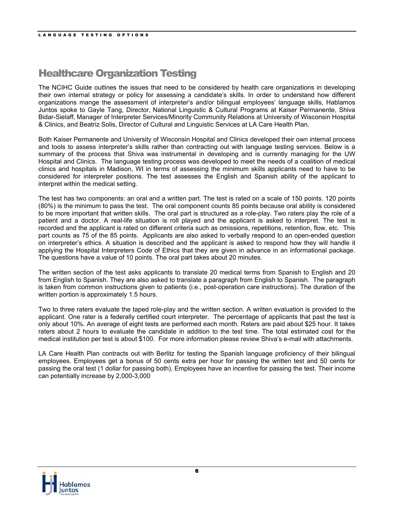# <span id="page-8-0"></span>Healthcare Organization Testing

The NCIHC Guide outlines the issues that need to be considered by health care organizations in developing their own internal strategy or policy for assessing a candidate's skills. In order to understand how different organizations mange the assessment of interpreter's and/or bilingual employees' language skills, Hablamos Juntos spoke to Gayle Tang, Director, National Linguistic & Cultural Programs at Kaiser Permanente, Shiva Bidar-Sielaff, Manager of Interpreter Services/Minority Community Relations at University of Wisconsin Hospital & Clinics, and Beatriz Solis, Director of Cultural and Linguistic Services at LA Care Health Plan.

Both Kaiser Permanente and University of Wisconsin Hospital and Clinics developed their own internal process and tools to assess interpreter's skills rather than contracting out with language testing services. Below is a summary of the process that Shiva was instrumental in developing and is currently managing for the UW Hospital and Clinics. The language testing process was developed to meet the needs of a coalition of medical clinics and hospitals in Madison, WI in terms of assessing the minimum skills applicants need to have to be considered for interpreter positions. The test assesses the English and Spanish ability of the applicant to interpret within the medical setting.

The test has two components: an oral and a written part. The test is rated on a scale of 150 points. 120 points (80%) is the minimum to pass the test. The oral component counts 85 points because oral ability is considered to be more important that written skills. The oral part is structured as a role-play. Two raters play the role of a patient and a doctor. A real-life situation is roll played and the applicant is asked to interpret. The test is recorded and the applicant is rated on different criteria such as omissions, repetitions, retention, flow, etc. This part counts as 75 of the 85 points. Applicants are also asked to verbally respond to an open-ended question on interpreter's ethics. A situation is described and the applicant is asked to respond how they will handle it applying the Hospital Interpreters Code of Ethics that they are given in advance in an informational package. The questions have a value of 10 points. The oral part takes about 20 minutes.

The written section of the test asks applicants to translate 20 medical terms from Spanish to English and 20 from English to Spanish. They are also asked to translate a paragraph from English to Spanish. The paragraph is taken from common instructions given to patients (i.e., post-operation care instructions). The duration of the written portion is approximately 1.5 hours.

Two to three raters evaluate the taped role-play and the written section. A written evaluation is provided to the applicant. One rater is a federally certified court interpreter. The percentage of applicants that past the test is only about 10%. An average of eight tests are performed each month. Raters are paid about \$25 hour. It takes raters about 2 hours to evaluate the candidate in addition to the test time. The total estimated cost for the medical institution per test is about \$100. For more information please review Shiva's e-mail with attachments.

LA Care Health Plan contracts out with Berlitz for testing the Spanish language proficiency of their bilingual employees. Employees get a bonus of 50 cents extra per hour for passing the written test and 50 cents for passing the oral test (1 dollar for passing both), Employees have an incentive for passing the test. Their income can potentially increase by 2,000-3,000

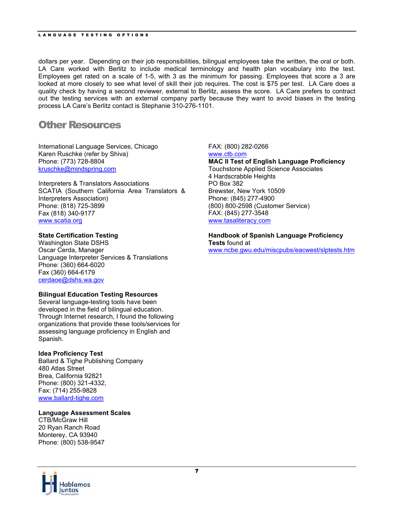<span id="page-9-0"></span>dollars per year. Depending on their job responsibilities, bilingual employees take the written, the oral or both. LA Care worked with Berlitz to include medical terminology and health plan vocabulary into the test. Employees get rated on a scale of 1-5, with 3 as the minimum for passing. Employees that score a 3 are looked at more closely to see what level of skill their job requires. The cost is \$75 per test. LA Care does a quality check by having a second reviewer, external to Berlitz, assess the score. LA Care prefers to contract out the testing services with an external company partly because they want to avoid biases in the testing process LA Care's Berlitz contact is Stephanie 310-276-1101.

# Other Resources

International Language Services, Chicago Karen Ruschke (refer by Shiva) Phone: (773) 728-8804 [kruschke@mindspring.com](mailto:kruschke@mindspring.com)

Interpreters & Translators Associations SCATIA (Southern California Area Translators & Interpreters Association) Phone: (818) 725-3899 Fax (818) 340-9177 www.scatia.org

# **State Certification Testing**

Washington State DSHS Oscar Cerda, Manager Language Interpreter Services & Translations Phone: (360) 664-6020 Fax (360) 664-6179 cerdaoe@dshs.wa.gov

## **Bilingual Education Testing Resources**

Several language-testing tools have been developed in the field of bilingual education. Through Internet research, I found the following organizations that provide these tools/services for assessing language proficiency in English and Spanish.

## **Idea Proficiency Test**

Ballard & Tighe Publishing Company 480 Atlas Street Brea, California 92821 Phone: (800) 321-4332, Fax: (714) 255-9828 www.ballard-tighe.com

# **Language Assessment Scales**

CTB/McGraw Hill 20 Ryan Ranch Road Monterey, CA 93940 Phone: (800) 538-9547



### FAX: (800) 282-0266

www.ctb.com **MAC II Test of English Language Proficiency** Touchstone Applied Science Associates 4 Hardscrabble Heights PO Box 382 Brewster, New York 10509 Phone: (845) 277-4900 (800) 800-2598 (Customer Service) FAX: (845) 277-3548 www.tasaliteracy.com

**Handbook of Spanish Language Proficiency Tests** found at www.ncbe.gwu.edu/miscpubs/eacwest/slptests.htm